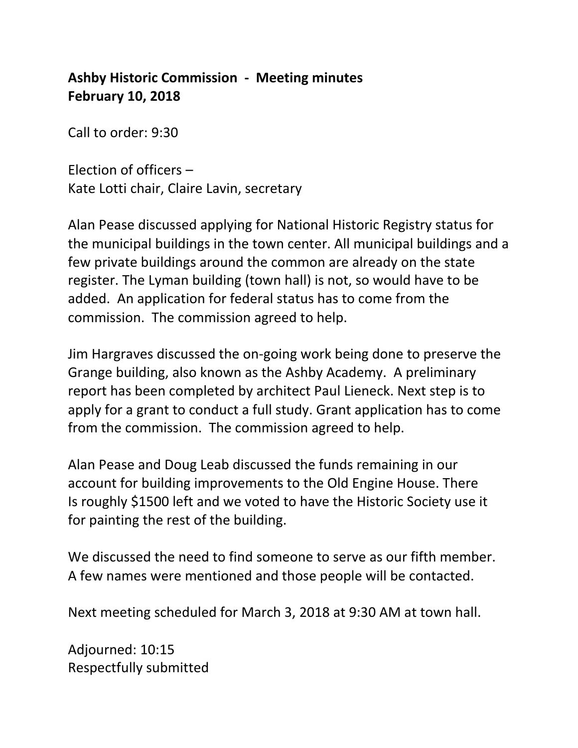## **Ashby Historic Commission - Meeting minutes February 10, 2018**

Call to order: 9:30

Election of officers – Kate Lotti chair, Claire Lavin, secretary

Alan Pease discussed applying for National Historic Registry status for the municipal buildings in the town center. All municipal buildings and a few private buildings around the common are already on the state register. The Lyman building (town hall) is not, so would have to be added. An application for federal status has to come from the commission. The commission agreed to help.

Jim Hargraves discussed the on-going work being done to preserve the Grange building, also known as the Ashby Academy. A preliminary report has been completed by architect Paul Lieneck. Next step is to apply for a grant to conduct a full study. Grant application has to come from the commission. The commission agreed to help.

Alan Pease and Doug Leab discussed the funds remaining in our account for building improvements to the Old Engine House. There Is roughly \$1500 left and we voted to have the Historic Society use it for painting the rest of the building.

We discussed the need to find someone to serve as our fifth member. A few names were mentioned and those people will be contacted.

Next meeting scheduled for March 3, 2018 at 9:30 AM at town hall.

Adjourned: 10:15 Respectfully submitted